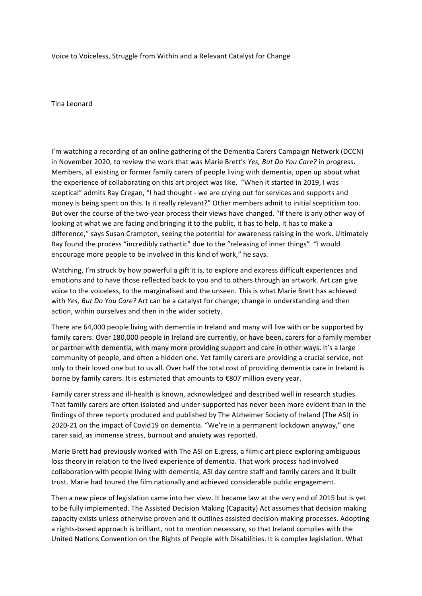Voice to Voiceless, Struggle from Within and a Relevant Catalyst for Change

Tina Leonard 

I'm watching a recording of an online gathering of the Dementia Carers Campaign Network (DCCN) in November 2020, to review the work that was Marie Brett's *Yes, But Do You Care?* in progress. Members, all existing or former family carers of people living with dementia, open up about what the experience of collaborating on this art project was like. "When it started in 2019, I was sceptical" admits Ray Cregan, "I had thought - we are crying out for services and supports and money is being spent on this. Is it really relevant?" Other members admit to initial scepticism too. But over the course of the two-year process their views have changed. "If there is any other way of looking at what we are facing and bringing it to the public, it has to help, it has to make a difference," says Susan Crampton, seeing the potential for awareness raising in the work. Ultimately Ray found the process "incredibly cathartic" due to the "releasing of inner things". "I would encourage more people to be involved in this kind of work," he says.

Watching, I'm struck by how powerful a gift it is, to explore and express difficult experiences and emotions and to have those reflected back to you and to others through an artwork. Art can give voice to the voiceless, to the marginalised and the unseen. This is what Marie Brett has achieved with *Yes, But Do You Care?* Art can be a catalyst for change; change in understanding and then action, within ourselves and then in the wider society.

There are 64,000 people living with dementia in Ireland and many will live with or be supported by family carers. Over 180,000 people in Ireland are currently, or have been, carers for a family member or partner with dementia, with many more providing support and care in other ways. It's a large community of people, and often a hidden one. Yet family carers are providing a crucial service, not only to their loved one but to us all. Over half the total cost of providing dementia care in Ireland is borne by family carers. It is estimated that amounts to  $\epsilon$ 807 million every year.

Family carer stress and ill-health is known, acknowledged and described well in research studies. That family carers are often isolated and under-supported has never been more evident than in the findings of three reports produced and published by The Alzheimer Society of Ireland (The ASI) in 2020-21 on the impact of Covid19 on dementia. "We're in a permanent lockdown anyway," one carer said, as immense stress, burnout and anxiety was reported.

Marie Brett had previously worked with The ASI on E.gress, a filmic art piece exploring ambiguous loss theory in relation to the lived experience of dementia. That work process had involved collaboration with people living with dementia, ASI day centre staff and family carers and it built trust. Marie had toured the film nationally and achieved considerable public engagement.

Then a new piece of legislation came into her view. It became law at the very end of 2015 but is yet to be fully implemented. The Assisted Decision Making (Capacity) Act assumes that decision making capacity exists unless otherwise proven and it outlines assisted decision-making processes. Adopting a rights-based approach is brilliant, not to mention necessary, so that Ireland complies with the United Nations Convention on the Rights of People with Disabilities. It is complex legislation. What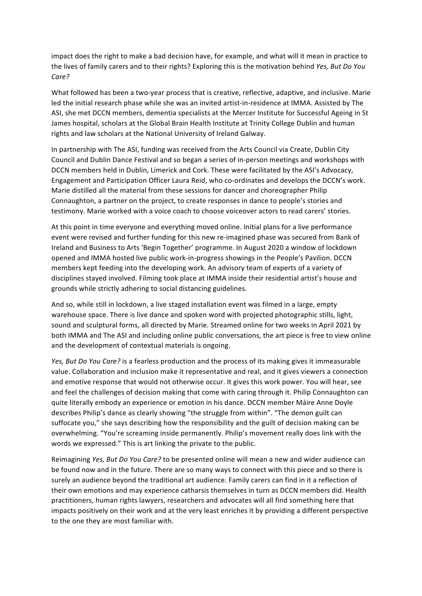impact does the right to make a bad decision have, for example, and what will it mean in practice to the lives of family carers and to their rights? Exploring this is the motivation behind *Yes, But Do You Care?*

What followed has been a two-year process that is creative, reflective, adaptive, and inclusive. Marie led the initial research phase while she was an invited artist-in-residence at IMMA. Assisted by The ASI, she met DCCN members, dementia specialists at the Mercer Institute for Successful Ageing in St James hospital, scholars at the Global Brain Health Institute at Trinity College Dublin and human rights and law scholars at the National University of Ireland Galway.

In partnership with The ASI, funding was received from the Arts Council via Create, Dublin City Council and Dublin Dance Festival and so began a series of in-person meetings and workshops with DCCN members held in Dublin, Limerick and Cork. These were facilitated by the ASI's Advocacy, Engagement and Participation Officer Laura Reid, who co-ordinates and develops the DCCN's work. Marie distilled all the material from these sessions for dancer and choreographer Philip Connaughton, a partner on the project, to create responses in dance to people's stories and testimony. Marie worked with a voice coach to choose voiceover actors to read carers' stories.

At this point in time everyone and everything moved online. Initial plans for a live performance event were revised and further funding for this new re-imagined phase was secured from Bank of Ireland and Business to Arts 'Begin Together' programme. In August 2020 a window of lockdown opened and IMMA hosted live public work-in-progress showings in the People's Pavilion. DCCN members kept feeding into the developing work. An advisory team of experts of a variety of disciplines stayed involved. Filming took place at IMMA inside their residential artist's house and grounds while strictly adhering to social distancing guidelines.

And so, while still in lockdown, a live staged installation event was filmed in a large, empty warehouse space. There is live dance and spoken word with projected photographic stills, light, sound and sculptural forms, all directed by Marie. Streamed online for two weeks in April 2021 by both IMMA and The ASI and including online public conversations, the art piece is free to view online and the development of contextual materials is ongoing.

*Yes, But Do You Care?* is a fearless production and the process of its making gives it immeasurable value. Collaboration and inclusion make it representative and real, and it gives viewers a connection and emotive response that would not otherwise occur. It gives this work power. You will hear, see and feel the challenges of decision making that come with caring through it. Philip Connaughton can quite literally embody an experience or emotion in his dance. DCCN member Máire Anne Doyle describes Philip's dance as clearly showing "the struggle from within". "The demon guilt can suffocate you," she says describing how the responsibility and the guilt of decision making can be overwhelming. "You're screaming inside permanently. Philip's movement really does link with the words we expressed." This is art linking the private to the public.

Reimagining *Yes, But Do You Care?* to be presented online will mean a new and wider audience can be found now and in the future. There are so many ways to connect with this piece and so there is surely an audience beyond the traditional art audience. Family carers can find in it a reflection of their own emotions and may experience catharsis themselves in turn as DCCN members did. Health practitioners, human rights lawyers, researchers and advocates will all find something here that impacts positively on their work and at the very least enriches it by providing a different perspective to the one they are most familiar with.